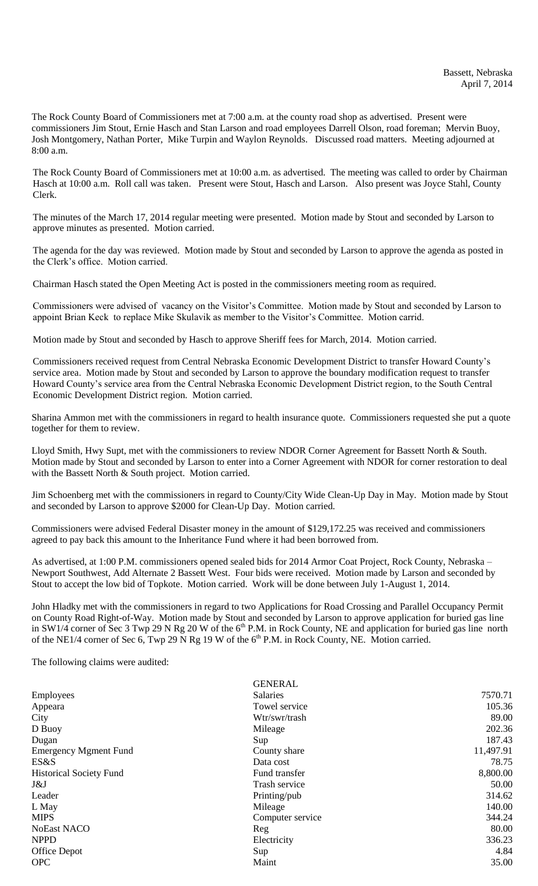The Rock County Board of Commissioners met at 7:00 a.m. at the county road shop as advertised. Present were commissioners Jim Stout, Ernie Hasch and Stan Larson and road employees Darrell Olson, road foreman; Mervin Buoy, Josh Montgomery, Nathan Porter, Mike Turpin and Waylon Reynolds. Discussed road matters. Meeting adjourned at 8:00 a.m.

The Rock County Board of Commissioners met at 10:00 a.m. as advertised. The meeting was called to order by Chairman Hasch at 10:00 a.m. Roll call was taken. Present were Stout, Hasch and Larson. Also present was Joyce Stahl, County Clerk.

The minutes of the March 17, 2014 regular meeting were presented. Motion made by Stout and seconded by Larson to approve minutes as presented. Motion carried.

The agenda for the day was reviewed. Motion made by Stout and seconded by Larson to approve the agenda as posted in the Clerk's office. Motion carried.

Chairman Hasch stated the Open Meeting Act is posted in the commissioners meeting room as required.

Commissioners were advised of vacancy on the Visitor's Committee. Motion made by Stout and seconded by Larson to appoint Brian Keck to replace Mike Skulavik as member to the Visitor's Committee. Motion carrid.

Motion made by Stout and seconded by Hasch to approve Sheriff fees for March, 2014. Motion carried.

Commissioners received request from Central Nebraska Economic Development District to transfer Howard County's service area. Motion made by Stout and seconded by Larson to approve the boundary modification request to transfer Howard County's service area from the Central Nebraska Economic Development District region, to the South Central Economic Development District region. Motion carried.

Sharina Ammon met with the commissioners in regard to health insurance quote. Commissioners requested she put a quote together for them to review.

Lloyd Smith, Hwy Supt, met with the commissioners to review NDOR Corner Agreement for Bassett North & South. Motion made by Stout and seconded by Larson to enter into a Corner Agreement with NDOR for corner restoration to deal with the Bassett North & South project. Motion carried.

Jim Schoenberg met with the commissioners in regard to County/City Wide Clean-Up Day in May. Motion made by Stout and seconded by Larson to approve \$2000 for Clean-Up Day. Motion carried.

Commissioners were advised Federal Disaster money in the amount of \$129,172.25 was received and commissioners agreed to pay back this amount to the Inheritance Fund where it had been borrowed from.

As advertised, at 1:00 P.M. commissioners opened sealed bids for 2014 Armor Coat Project, Rock County, Nebraska – Newport Southwest, Add Alternate 2 Bassett West. Four bids were received. Motion made by Larson and seconded by Stout to accept the low bid of Topkote. Motion carried. Work will be done between July 1-August 1, 2014.

John Hladky met with the commissioners in regard to two Applications for Road Crossing and Parallel Occupancy Permit on County Road Right-of-Way. Motion made by Stout and seconded by Larson to approve application for buried gas line in SW1/4 corner of Sec 3 Twp 29 N Rg 20 W of the  $6<sup>th</sup>$  P.M. in Rock County, NE and application for buried gas line north of the NE1/4 corner of Sec 6, Twp 29 N Rg 19 W of the  $6<sup>th</sup>$  P.M. in Rock County, NE. Motion carried.

The following claims were audited:

| <b>GENERAL</b>   |           |
|------------------|-----------|
| Salaries         | 7570.71   |
| Towel service    | 105.36    |
| Wtr/swr/trash    | 89.00     |
| Mileage          | 202.36    |
| Sup              | 187.43    |
| County share     | 11,497.91 |
| Data cost        | 78.75     |
| Fund transfer    | 8,800.00  |
| Trash service    | 50.00     |
| Printing/pub     | 314.62    |
| Mileage          | 140.00    |
| Computer service | 344.24    |
| Reg              | 80.00     |
| Electricity      | 336.23    |
| Sup              | 4.84      |
| Maint            | 35.00     |
|                  |           |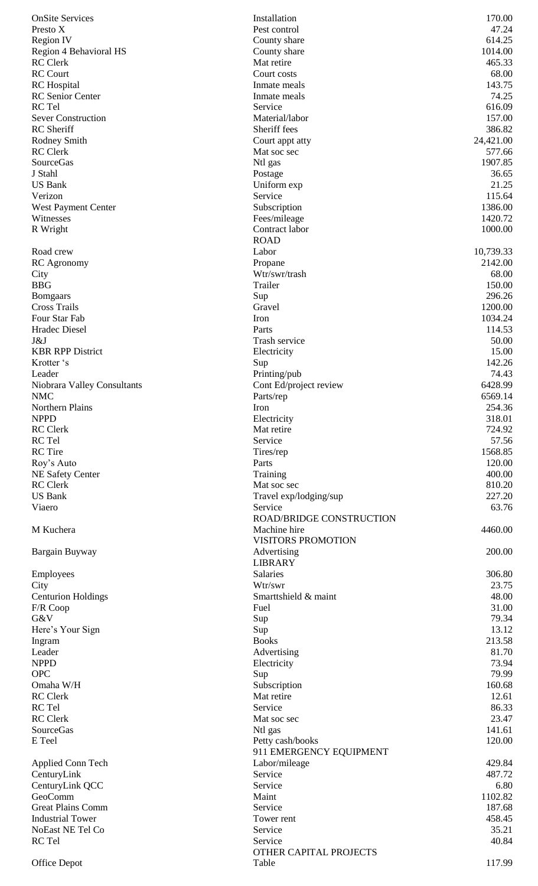| <b>OnSite Services</b>                | Installation                               | 170.00            |
|---------------------------------------|--------------------------------------------|-------------------|
| Presto X                              | Pest control                               | 47.24             |
| <b>Region IV</b>                      | County share                               | 614.25            |
| Region 4 Behavioral HS                | County share                               | 1014.00           |
| <b>RC</b> Clerk<br><b>RC</b> Court    | Mat retire<br>Court costs                  | 465.33<br>68.00   |
| <b>RC</b> Hospital                    | Inmate meals                               | 143.75            |
| <b>RC</b> Senior Center               | Inmate meals                               | 74.25             |
| RC Tel                                | Service                                    | 616.09            |
| <b>Sever Construction</b>             | Material/labor                             | 157.00            |
| <b>RC</b> Sheriff                     | Sheriff fees                               | 386.82            |
| Rodney Smith                          | Court appt atty                            | 24,421.00         |
| <b>RC</b> Clerk                       | Mat soc sec                                | 577.66            |
| SourceGas                             | Ntl gas                                    | 1907.85           |
| J Stahl                               | Postage                                    | 36.65             |
| <b>US Bank</b>                        | Uniform exp                                | 21.25             |
| Verizon<br><b>West Payment Center</b> | Service                                    | 115.64<br>1386.00 |
| Witnesses                             | Subscription<br>Fees/mileage               | 1420.72           |
| R Wright                              | Contract labor                             | 1000.00           |
|                                       | <b>ROAD</b>                                |                   |
| Road crew                             | Labor                                      | 10,739.33         |
| RC Agronomy                           | Propane                                    | 2142.00           |
| City                                  | Wtr/swr/trash                              | 68.00             |
| <b>BBG</b>                            | Trailer                                    | 150.00            |
| <b>Bomgaars</b>                       | Sup                                        | 296.26            |
| <b>Cross Trails</b>                   | Gravel                                     | 1200.00           |
| Four Star Fab                         | Iron                                       | 1034.24           |
| Hradec Diesel                         | Parts                                      | 114.53            |
| J&J                                   | Trash service                              | 50.00             |
| <b>KBR RPP District</b>               | Electricity                                | 15.00             |
| Krotter 's<br>Leader                  | Sup                                        | 142.26<br>74.43   |
| Niobrara Valley Consultants           | Printing/pub<br>Cont Ed/project review     | 6428.99           |
| <b>NMC</b>                            | Parts/rep                                  | 6569.14           |
| Northern Plains                       | Iron                                       | 254.36            |
| <b>NPPD</b>                           | Electricity                                | 318.01            |
| <b>RC</b> Clerk                       | Mat retire                                 | 724.92            |
| RC Tel                                | Service                                    | 57.56             |
| <b>RC</b> Tire                        | Tires/rep                                  | 1568.85           |
| Roy's Auto                            | Parts                                      | 120.00            |
| <b>NE Safety Center</b>               | Training                                   | 400.00            |
| <b>RC</b> Clerk                       | Mat soc sec                                | 810.20            |
| <b>US Bank</b>                        | Travel exp/lodging/sup                     | 227.20            |
| Viaero                                | Service<br><b>ROAD/BRIDGE CONSTRUCTION</b> | 63.76             |
| M Kuchera                             | Machine hire                               | 4460.00           |
|                                       | <b>VISITORS PROMOTION</b>                  |                   |
| Bargain Buyway                        | Advertising                                | 200.00            |
|                                       | <b>LIBRARY</b>                             |                   |
| Employees                             | Salaries                                   | 306.80            |
| City                                  | Wtr/swr                                    | 23.75             |
| <b>Centurion Holdings</b>             | Smarttshield & maint                       | 48.00             |
| F/R Coop                              | Fuel                                       | 31.00             |
| G&V                                   | Sup                                        | 79.34             |
| Here's Your Sign                      | Sup                                        | 13.12             |
| Ingram                                | <b>Books</b>                               | 213.58            |
| Leader                                | Advertising                                | 81.70             |
| <b>NPPD</b><br><b>OPC</b>             | Electricity<br>Sup                         | 73.94<br>79.99    |
| Omaha W/H                             | Subscription                               | 160.68            |
| <b>RC</b> Clerk                       | Mat retire                                 | 12.61             |
| RC Tel                                | Service                                    | 86.33             |
| <b>RC</b> Clerk                       | Mat soc sec                                | 23.47             |
| <b>SourceGas</b>                      | Ntl gas                                    | 141.61            |
| E Teel                                | Petty cash/books                           | 120.00            |
|                                       | 911 EMERGENCY EQUIPMENT                    |                   |
| Applied Conn Tech                     | Labor/mileage                              | 429.84            |
| CenturyLink                           | Service                                    | 487.72            |
| CenturyLink QCC                       | Service                                    | 6.80              |
| GeoComm<br><b>Great Plains Comm</b>   | Maint<br>Service                           | 1102.82<br>187.68 |
| <b>Industrial Tower</b>               | Tower rent                                 | 458.45            |
| NoEast NE Tel Co                      | Service                                    | 35.21             |
| RC Tel                                | Service                                    | 40.84             |
|                                       | OTHER CAPITAL PROJECTS                     |                   |
| Office Depot                          | Table                                      | 117.99            |